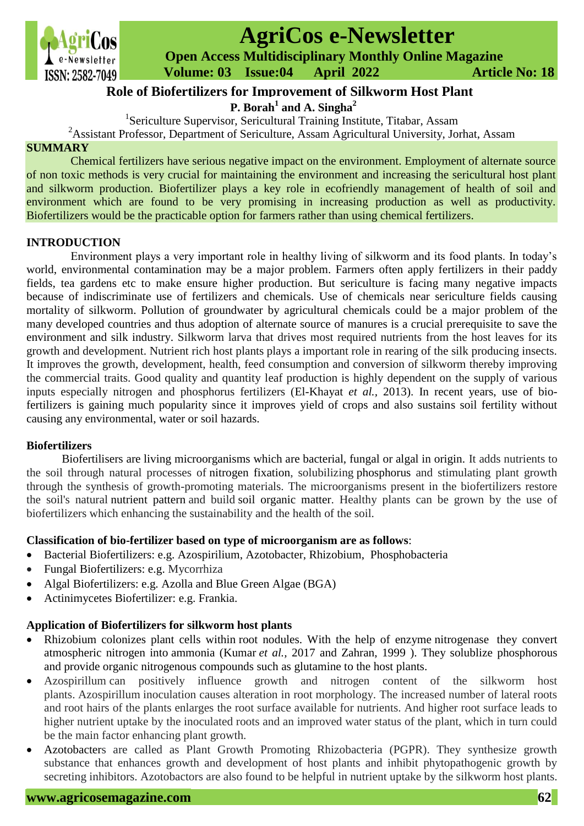

# **AgriCos e-Newsletter**

 **Open Access Multidisciplinary Monthly Online Magazine**

 **ISSN: 2582-7049 Volume: 03 Issue:04 April 2022 Article No: 18** 

# **P. Borah<sup>1</sup> and A. Singha<sup>2</sup> Role of Biofertilizers for Improvement of Silkworm Host Plant**

<sup>1</sup>Sericulture Supervisor, Sericultural Training Institute, Titabar, Assam

<sup>2</sup>Assistant Professor, Department of Sericulture, Assam Agricultural University, Jorhat, Assam

#### **SUMMARY**

Chemical fertilizers have serious negative impact on the environment. Employment of alternate source of non toxic methods is very crucial for maintaining the environment and increasing the sericultural host plant and silkworm production. Biofertilizer plays a key role in ecofriendly management of health of soil and environment which are found to be very promising in increasing production as well as productivity. Biofertilizers would be the practicable option for farmers rather than using chemical fertilizers.

## **INTRODUCTION**

Environment plays a very important role in healthy living of silkworm and its food plants. In today's world, environmental contamination may be a major problem. Farmers often apply fertilizers in their paddy fields, tea gardens etc to make ensure higher production. But sericulture is facing many negative impacts because of indiscriminate use of fertilizers and chemicals. Use of chemicals near sericulture fields causing mortality of silkworm. Pollution of groundwater by agricultural chemicals could be a major problem of the many developed countries and thus adoption of alternate source of manures is a crucial prerequisite to save the environment and silk industry. Silkworm larva that drives most required nutrients from the host leaves for its growth and development. Nutrient rich host plants plays a important role in rearing of the silk producing insects. It improves the growth, development, health, feed consumption and conversion of silkworm thereby improving the commercial traits. Good quality and quantity leaf production is highly dependent on the supply of various inputs especially nitrogen and phosphorus fertilizers (El-Khayat *et al.,* 2013). In recent years, use of biofertilizers is gaining much popularity since it improves yield of crops and also sustains soil fertility without causing any environmental, water or soil hazards.

## **Biofertilizers**

Biofertilisers are living microorganisms which are bacterial, fungal or algal in origin. It adds nutrients to the soil through natural processes of nitrogen fixation, solubilizing phosphorus and stimulating plant growth through the synthesis of growth-promoting materials. The microorganisms present in the biofertilizers restore the soil's natural nutrient pattern and build soil organic matter. Healthy plants can be grown by the use of biofertilizers which enhancing the sustainability and the health of the soil.

## **Classification of bio-fertilizer based on type of microorganism are as follows**:

- Bacterial Biofertilizers: e.g. Azospirilium, Azotobacter, Rhizobium, Phosphobacteria
- Fungal Biofertilizers: e.g. Mycorrhiza
- Algal Biofertilizers: e.g. Azolla and Blue Green Algae (BGA)
- Actinimycetes Biofertilizer: e.g. Frankia.

## **Application of Biofertilizers for silkworm host plants**

- Rhizobium colonizes plant cells within root nodules. With the help of enzyme nitrogenase they convert atmospheric nitrogen into ammonia (Kumar *et al.,* 2017 and Zahran, 1999 ). They solublize phosphorous and provide organic nitrogenous compounds such as glutamine to the host plants.
- Azospirillum can positively influence growth and nitrogen content of the silkworm host plants. Azospirillum inoculation causes alteration in root morphology. The increased number of lateral roots and root hairs of the plants enlarges the root surface available for nutrients. And higher root surface leads to higher nutrient uptake by the inoculated roots and an improved water status of the plant, which in turn could be the main factor enhancing plant growth.
- Azotobacters are called as Plant Growth Promoting Rhizobacteria (PGPR). They synthesize growth substance that enhances growth and development of host plants and inhibit phytopathogenic growth by secreting inhibitors. Azotobactors are also found to be helpful in nutrient uptake by the silkworm host plants.